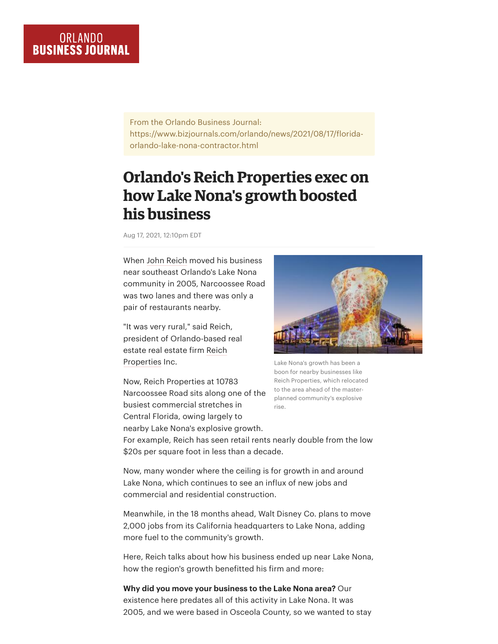From the Orlando Business Journal: https://www.bizjournals.com/orlando/news/2021/08/17/floridaorlando-lake-nona-contractor.html

## **Orlando's Reich Properties exec on how Lake Nona's growth boosted his business**

Aug 17, 2021, 12:10pm EDT

When [John Reich](https://www.bizjournals.com/orlando/search/results?q=John%20Reich) moved his business near southeast Orlando's Lake Nona community in 2005, Narcoossee Road was two lanes and there was only a pair of restaurants nearby.

"It was very rural," said Reich, president of Orlando-based real [estate real estate firm Reich](https://www.bizjournals.com/profile/company/org_ch_f0391a5efa72b60c657af156009831cf) Properties Inc.

Now, Reich Properties at 10783 Narcoossee Road sits along one of the busiest commercial stretches in Central Florida, owing largely to nearby Lake Nona's explosive growth.



Lake Nona's growth has been a boon for nearby businesses like Reich Properties, which relocated to the area ahead of the masterplanned community's explosive rise.

For example, Reich has seen retail rents nearly double from the low \$20s per square foot in less than a decade.

Now, many wonder where the ceiling is for growth in and around Lake Nona, which continues to see an influx of new jobs and commercial and residential construction.

Meanwhile, in the 18 months ahead, Walt Disney Co. plans to move 2,000 jobs from its California headquarters to Lake Nona, adding more fuel to the community's growth.

Here, Reich talks about how his business ended up near Lake Nona, how the region's growth benefitted his firm and more:

**Why did you move your business to the Lake Nona area?** Our existence here predates all of this activity in Lake Nona. It was 2005, and we were based in Osceola County, so we wanted to stay